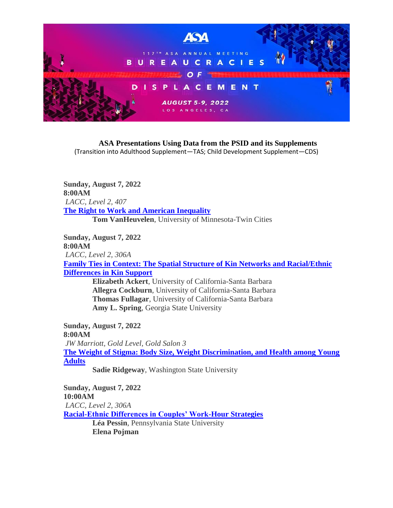

**ASA Presentations Using Data from the PSID and its Supplements** (Transition into Adulthood Supplement—TAS; Child Development Supplement—CDS)

**Sunday, August 7, 2022 8:00AM** *LACC, Level 2, 407* **[The Right to Work and American Inequality](https://tinyurl.com/ybj8lvwk) Tom VanHeuvelen**, University of Minnesota-Twin Cities

**Sunday, August 7, 2022 8:00AM** *LACC, Level 2, 306A* **[Family Ties in Context: The Spatial Structure of Kin Networks and Racial/Ethnic](https://tinyurl.com/yazu74kl)  [Differences in Kin Support](https://tinyurl.com/yazu74kl)**

**Elizabeth Ackert**, University of California-Santa Barbara **Allegra Cockburn**, University of California-Santa Barbara **Thomas Fullagar**, University of California-Santa Barbara **Amy L. Spring**, Georgia State University

**Sunday, August 7, 2022 8:00AM** *JW Marriott, Gold Level, Gold Salon 3* **[The Weight of Stigma: Body Size, Weight Discrimination, and Health among Young](https://tinyurl.com/yahe3ycl)  [Adults](https://tinyurl.com/yahe3ycl) Sadie Ridgeway**, Washington State University

**Sunday, August 7, 2022 10:00AM** *LACC, Level 2, 306A* **[Racial-Ethnic Differences in Couples' Work-Hour Strategies](https://tinyurl.com/ydedozbh) Léa Pessin**, Pennsylvania State University **Elena Pojman**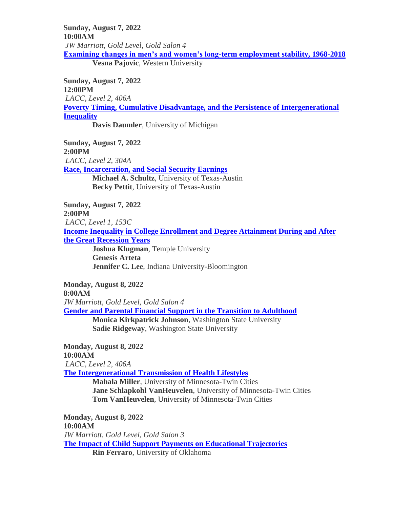**Sunday, August 7, 2022 10:00AM** *JW Marriott, Gold Level, Gold Salon 4* **[Examining changes in men's and women's long-term employment stability, 1968-2018](https://tinyurl.com/ybthu94a)**

**Vesna Pajovic**, Western University

**Sunday, August 7, 2022 12:00PM** *LACC, Level 2, 406A* **[Poverty Timing, Cumulative Disadvantage, and the Persistence of Intergenerational](https://tinyurl.com/y98q89g2)  [Inequality](https://tinyurl.com/y98q89g2) Davis Daumler**, University of Michigan

**Sunday, August 7, 2022 2:00PM**

*LACC, Level 2, 304A* **[Race, Incarceration, and Social Security Earnings](https://tinyurl.com/yb6awryn) Michael A. Schultz**, University of Texas-Austin **Becky Pettit**, University of Texas-Austin

**Sunday, August 7, 2022 2:00PM** *LACC, Level 1, 153C* **[Income Inequality in College Enrollment and Degree Attainment During and After](https://tinyurl.com/ybe79ch8)  [the Great Recession Years](https://tinyurl.com/ybe79ch8) Joshua Klugman**, Temple University **Genesis Arteta Jennifer C. Lee**, Indiana University-Bloomington

**Monday, August 8, 2022 8:00AM** *JW Marriott, Gold Level, Gold Salon 4* **[Gender and Parental Financial Support in the Transition to Adulthood](https://tinyurl.com/yac5nryx) Monica Kirkpatrick Johnson**, Washington State University **Sadie Ridgeway**, Washington State University

**Monday, August 8, 2022**

**10:00AM** *LACC, Level 2, 406A* **[The Intergenerational Transmission of Health Lifestyles](https://tinyurl.com/yc9ghfpg) Mahala Miller**, University of Minnesota-Twin Cities **Jane Schlapkohl VanHeuvelen**, University of Minnesota-Twin Cities **Tom VanHeuvelen**, University of Minnesota-Twin Cities

**Monday, August 8, 2022 10:00AM** *JW Marriott, Gold Level, Gold Salon 3* **[The Impact of Child Support Payments on Educational Trajectories](https://tinyurl.com/ydb3o2be) Rin Ferraro**, University of Oklahoma